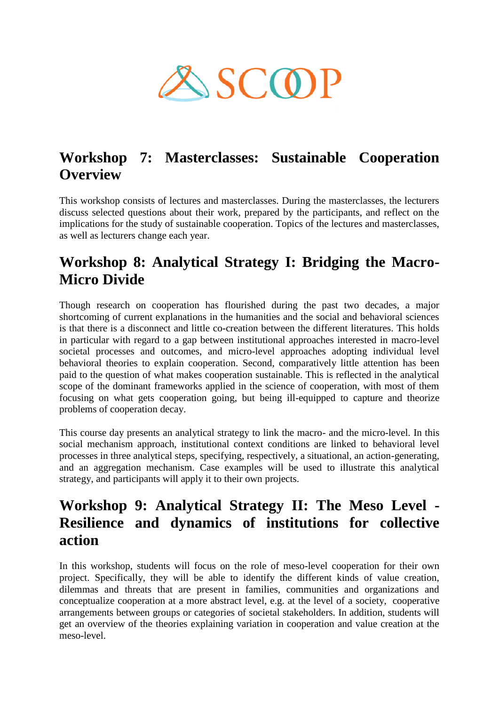

## **Workshop 7: Masterclasses: Sustainable Cooperation Overview**

This workshop consists of lectures and masterclasses. During the masterclasses, the lecturers discuss selected questions about their work, prepared by the participants, and reflect on the implications for the study of sustainable cooperation. Topics of the lectures and masterclasses, as well as lecturers change each year.

## **Workshop 8: Analytical Strategy I: Bridging the Macro-Micro Divide**

Though research on cooperation has flourished during the past two decades, a major shortcoming of current explanations in the humanities and the social and behavioral sciences is that there is a disconnect and little co-creation between the different literatures. This holds in particular with regard to a gap between institutional approaches interested in macro-level societal processes and outcomes, and micro-level approaches adopting individual level behavioral theories to explain cooperation. Second, comparatively little attention has been paid to the question of what makes cooperation sustainable. This is reflected in the analytical scope of the dominant frameworks applied in the science of cooperation, with most of them focusing on what gets cooperation going, but being ill-equipped to capture and theorize problems of cooperation decay.

This course day presents an analytical strategy to link the macro- and the micro-level. In this social mechanism approach, institutional context conditions are linked to behavioral level processes in three analytical steps, specifying, respectively, a situational, an action-generating, and an aggregation mechanism. Case examples will be used to illustrate this analytical strategy, and participants will apply it to their own projects.

## **Workshop 9: Analytical Strategy II: The Meso Level - Resilience and dynamics of institutions for collective action**

In this workshop, students will focus on the role of meso-level cooperation for their own project. Specifically, they will be able to identify the different kinds of value creation, dilemmas and threats that are present in families, communities and organizations and conceptualize cooperation at a more abstract level, e.g. at the level of a society, cooperative arrangements between groups or categories of societal stakeholders. In addition, students will get an overview of the theories explaining variation in cooperation and value creation at the meso-level.